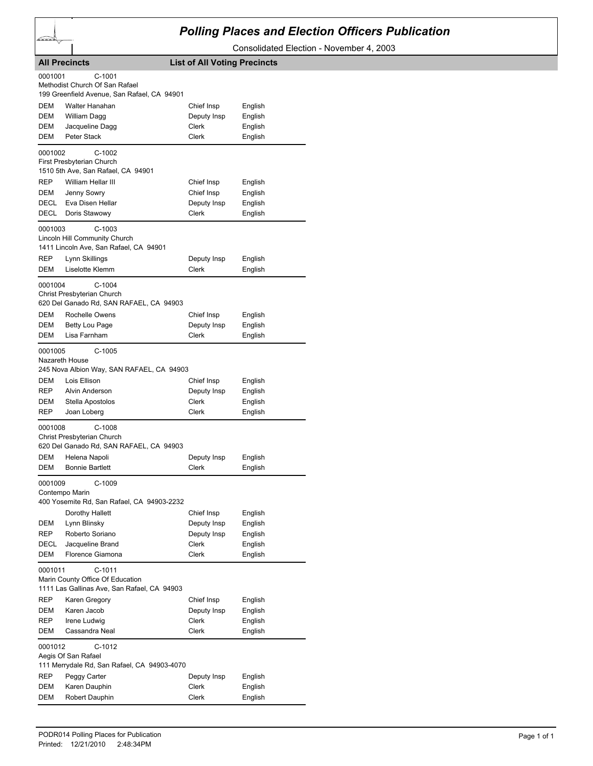

## *Polling Places and Election Officers Publication*

Consolidated Election - November 4, 2003

|            | <b>All Precincts</b>                                            | <b>List of All Voting Precincts</b> |                    |
|------------|-----------------------------------------------------------------|-------------------------------------|--------------------|
| 0001001    | $C-1001$                                                        |                                     |                    |
|            | Methodist Church Of San Rafael                                  |                                     |                    |
|            | 199 Greenfield Avenue, San Rafael, CA 94901                     |                                     |                    |
| DEM        | Walter Hanahan                                                  | Chief Insp                          | English            |
| DEM        | William Dagg                                                    | Deputy Insp                         | English            |
| DEM<br>DEM | Jacqueline Dagg<br>Peter Stack                                  | Clerk<br>Clerk                      | English            |
|            |                                                                 |                                     | English            |
| 0001002    | C-1002                                                          |                                     |                    |
|            | First Presbyterian Church<br>1510 5th Ave, San Rafael, CA 94901 |                                     |                    |
| REP        | William Hellar III                                              | Chief Insp                          |                    |
| DEM        | Jenny Sowry                                                     | Chief Insp                          | English<br>English |
| DECL       | Eva Disen Hellar                                                | Deputy Insp                         | English            |
| DECL       | Doris Stawowy                                                   | Clerk                               | English            |
|            |                                                                 |                                     |                    |
| 0001003    | $C-1003$<br>Lincoln Hill Community Church                       |                                     |                    |
|            | 1411 Lincoln Ave, San Rafael, CA 94901                          |                                     |                    |
| REP        | Lynn Skillings                                                  | Deputy Insp                         | English            |
| <b>DEM</b> | Liselotte Klemm                                                 | <b>Clerk</b>                        | English            |
| 0001004    | $C-1004$                                                        |                                     |                    |
|            | Christ Presbyterian Church                                      |                                     |                    |
|            | 620 Del Ganado Rd, SAN RAFAEL, CA 94903                         |                                     |                    |
| DEM        | Rochelle Owens                                                  | Chief Insp                          | English            |
| DEM        | <b>Betty Lou Page</b>                                           | Deputy Insp                         | English            |
| DEM        | Lisa Farnham                                                    | Clerk                               | English            |
| 0001005    | $C-1005$                                                        |                                     |                    |
|            | Nazareth House                                                  |                                     |                    |
|            | 245 Nova Albion Way, SAN RAFAEL, CA 94903                       |                                     |                    |
| DEM        | Lois Ellison                                                    | Chief Insp                          | English            |
| REP        | Alvin Anderson                                                  | Deputy Insp                         | English            |
| DEM        | Stella Apostolos                                                | Clerk                               | English            |
| REP        | Joan Loberg                                                     | Clerk                               | English            |
| 0001008    | C-1008                                                          |                                     |                    |
|            | Christ Presbyterian Church                                      |                                     |                    |
|            | 620 Del Ganado Rd, SAN RAFAEL, CA 94903                         |                                     |                    |
| DEM        | Helena Napoli                                                   | Deputy Insp                         | English            |
| DEM        | <b>Bonnie Bartlett</b>                                          | Clerk                               | English            |
| 0001009    | C-1009                                                          |                                     |                    |
|            | Contempo Marin<br>400 Yosemite Rd, San Rafael, CA 94903-2232    |                                     |                    |
|            |                                                                 | Chief Insp                          | English            |
| DEM        | Dorothy Hallett<br>Lynn Blinsky                                 | Deputy Insp                         | English            |
| REP        | Roberto Soriano                                                 | Deputy Insp                         | English            |
| DECL       | Jacqueline Brand                                                | Clerk                               | English            |
| DEM        | Florence Giamona                                                | <b>Clerk</b>                        | English            |
|            |                                                                 |                                     |                    |
| 0001011    | $C-1011$<br>Marin County Office Of Education                    |                                     |                    |
|            | 1111 Las Gallinas Ave, San Rafael, CA 94903                     |                                     |                    |
| REP        | Karen Gregory                                                   | Chief Insp                          | English            |
| DEM        | Karen Jacob                                                     | Deputy Insp                         | English            |
| REP        | Irene Ludwig                                                    | Clerk                               | English            |
| DEM        | Cassandra Neal                                                  | Clerk                               | English            |
| 0001012    | C-1012                                                          |                                     |                    |
|            | Aegis Of San Rafael                                             |                                     |                    |
|            | 111 Merrydale Rd, San Rafael, CA 94903-4070                     |                                     |                    |
| REP        | Peggy Carter                                                    | Deputy Insp                         | English            |
| DEM        | Karen Dauphin                                                   | Clerk                               | English            |
| DEM        | Robert Dauphin                                                  | Clerk                               | English            |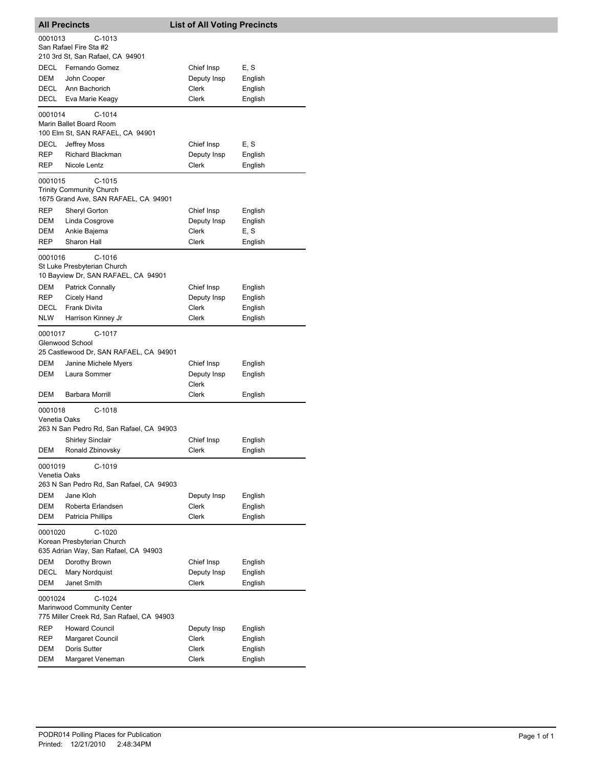| <b>All Precincts</b>                    |                                                                                                 | <b>List of All Voting Precincts</b>                |                                          |  |
|-----------------------------------------|-------------------------------------------------------------------------------------------------|----------------------------------------------------|------------------------------------------|--|
| 0001013                                 | C-1013<br>San Rafael Fire Sta #2<br>210 3rd St, San Rafael, CA 94901                            |                                                    |                                          |  |
| DECL<br>DEM<br>DECL<br>DECL             | Fernando Gomez<br>John Cooper<br>Ann Bachorich<br>Eva Marie Keagy                               | Chief Insp<br>Deputy Insp<br>Clerk<br>Clerk        | E, S<br>English<br>English<br>English    |  |
| 0001014                                 | $C-1014$<br>Marin Ballet Board Room                                                             |                                                    |                                          |  |
| DECL<br>REP<br>REP                      | 100 Elm St, SAN RAFAEL, CA 94901<br>Jeffrey Moss<br><b>Richard Blackman</b><br>Nicole Lentz     | Chief Insp<br>Deputy Insp<br>Clerk                 | E, S<br>English<br>English               |  |
| 0001015                                 | C-1015<br><b>Trinity Community Church</b><br>1675 Grand Ave, SAN RAFAEL, CA 94901               |                                                    |                                          |  |
| REP<br>DEM<br>DEM<br>REP                | Sheryl Gorton<br>Linda Cosgrove<br>Ankie Bajema<br>Sharon Hall                                  | Chief Insp<br>Deputy Insp<br><b>Clerk</b><br>Clerk | English<br>English<br>E, S               |  |
| 0001016                                 | $C-1016$<br>St Luke Presbyterian Church<br>10 Bayview Dr, SAN RAFAEL, CA 94901                  |                                                    | English                                  |  |
| <b>DEM</b><br>REP<br>DECL<br><b>NLW</b> | <b>Patrick Connally</b><br>Cicely Hand<br><b>Frank Divita</b><br>Harrison Kinney Jr             | Chief Insp<br>Deputy Insp<br>Clerk<br>Clerk        | English<br>English<br>English<br>English |  |
| 0001017                                 | C-1017<br>Glenwood School<br>25 Castlewood Dr, SAN RAFAEL, CA 94901                             |                                                    |                                          |  |
| DEM<br><b>DEM</b>                       | Janine Michele Myers<br>Laura Sommer                                                            | Chief Insp<br>Deputy Insp<br>Clerk                 | English<br>English                       |  |
| DEM                                     | Barbara Morrill                                                                                 | Clerk                                              | English                                  |  |
| 0001018<br>Venetia Oaks                 | $C-1018$<br>263 N San Pedro Rd, San Rafael, CA 94903                                            |                                                    |                                          |  |
| DEM                                     | <b>Shirley Sinclair</b><br>Ronald Zbinovsky                                                     | Chief Insp<br>Clerk                                | English<br>English                       |  |
| 0001019<br>Venetia Oaks                 | $C-1019$                                                                                        |                                                    |                                          |  |
| <b>DEM</b><br>DEM<br>DEM                | 263 N San Pedro Rd, San Rafael, CA 94903<br>Jane Kloh<br>Roberta Erlandsen<br>Patricia Phillips | Deputy Insp<br>Clerk<br>Clerk                      | English<br>English<br>English            |  |
| 0001020                                 | $C-1020$<br>Korean Presbyterian Church<br>635 Adrian Way, San Rafael, CA 94903                  |                                                    |                                          |  |
| DEM<br>DECL<br>DEM                      | Dorothy Brown<br>Mary Nordquist<br>Janet Smith                                                  | Chief Insp<br>Deputy Insp<br><b>Clerk</b>          | English<br>English<br>English            |  |
| 0001024                                 | $C-1024$<br>Marinwood Community Center<br>775 Miller Creek Rd, San Rafael, CA 94903             |                                                    |                                          |  |
| REP<br>REP<br>DEM<br>DEM                | <b>Howard Council</b><br>Margaret Council<br>Doris Sutter<br>Margaret Veneman                   | Deputy Insp<br>Clerk<br>Clerk<br>Clerk             | English<br>English<br>English<br>English |  |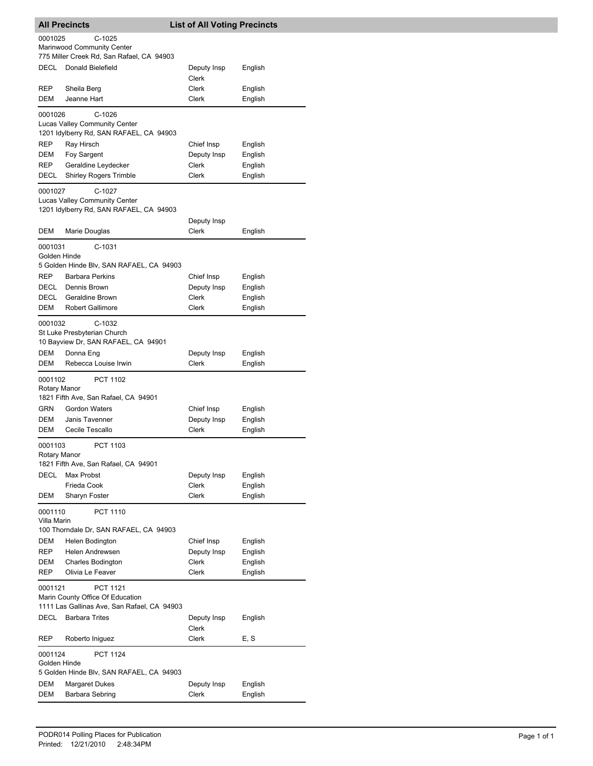| <b>All Precincts</b>      |                                                                         | <b>List of All Voting Precincts</b> |                    |
|---------------------------|-------------------------------------------------------------------------|-------------------------------------|--------------------|
| 0001025                   | $C-1025$                                                                |                                     |                    |
|                           | Marinwood Community Center<br>775 Miller Creek Rd, San Rafael, CA 94903 |                                     |                    |
| <b>DECL</b>               | Donald Bielefield                                                       | Deputy Insp                         | English            |
|                           |                                                                         | Clerk                               |                    |
| <b>REP</b>                | Sheila Berg                                                             | Clerk                               | English            |
| DEM                       | Jeanne Hart                                                             | Clerk                               | English            |
| 0001026                   | $C-1026$<br><b>Lucas Valley Community Center</b>                        |                                     |                    |
|                           | 1201 Idylberry Rd, SAN RAFAEL, CA 94903                                 |                                     |                    |
| <b>REP</b>                | Ray Hirsch                                                              | Chief Insp                          | English            |
| DEM                       | Foy Sargent                                                             | Deputy Insp                         | English            |
| <b>REP</b><br><b>DECL</b> | Geraldine Leydecker<br><b>Shirley Rogers Trimble</b>                    | Clerk<br><b>Clerk</b>               | English<br>English |
|                           |                                                                         |                                     |                    |
| 0001027                   | $C-1027$<br><b>Lucas Valley Community Center</b>                        |                                     |                    |
|                           | 1201 Idylberry Rd, SAN RAFAEL, CA 94903                                 |                                     |                    |
|                           |                                                                         | Deputy Insp                         |                    |
| DEM                       | Marie Douglas                                                           | Clerk                               | English            |
| 0001031                   | C-1031                                                                  |                                     |                    |
| Golden Hinde              | 5 Golden Hinde Blv, SAN RAFAEL, CA 94903                                |                                     |                    |
| <b>REP</b>                | <b>Barbara Perkins</b>                                                  | Chief Insp                          | English            |
| DECL                      | Dennis Brown                                                            | Deputy Insp                         | English            |
| DECL                      | Geraldine Brown                                                         | Clerk                               | English            |
| DEM                       | <b>Robert Gallimore</b>                                                 | Clerk                               | English            |
| 0001032                   | C-1032                                                                  |                                     |                    |
|                           | St Luke Presbyterian Church<br>10 Bayview Dr, SAN RAFAEL, CA 94901      |                                     |                    |
| DEM                       | Donna Eng                                                               | Deputy Insp                         | English            |
| DEM                       | Rebecca Louise Irwin                                                    | Clerk                               | English            |
| 0001102                   | PCT 1102                                                                |                                     |                    |
| Rotary Manor              |                                                                         |                                     |                    |
|                           | 1821 Fifth Ave, San Rafael, CA 94901                                    |                                     |                    |
| <b>GRN</b><br>DEM         | <b>Gordon Waters</b><br>Janis Tavenner                                  | Chief Insp<br>Deputy Insp           | English<br>English |
| DEM                       | Cecile Tescallo                                                         | Clerk                               | English            |
| 0001103                   | PCT 1103                                                                |                                     |                    |
| Rotary Manor              |                                                                         |                                     |                    |
|                           | 1821 Fifth Ave, San Rafael, CA 94901                                    |                                     |                    |
| <b>DECL</b>               | Max Probst<br>Frieda Cook                                               | Deputy Insp<br>Clerk                | English<br>English |
| DEM                       | Sharyn Foster                                                           | <b>Clerk</b>                        | English            |
| 0001110                   | PCT 1110                                                                |                                     |                    |
| Villa Marin               |                                                                         |                                     |                    |
|                           | 100 Thorndale Dr, SAN RAFAEL, CA 94903                                  |                                     |                    |
| DEM                       | Helen Bodington                                                         | Chief Insp                          | English            |
| <b>REP</b><br><b>DEM</b>  | Helen Andrewsen<br><b>Charles Bodington</b>                             | Deputy Insp<br>Clerk                | English<br>English |
| <b>REP</b>                | Olivia Le Feaver                                                        | Clerk                               | English            |
| 0001121                   | <b>PCT 1121</b>                                                         |                                     |                    |
|                           | Marin County Office Of Education                                        |                                     |                    |
|                           | 1111 Las Gallinas Ave, San Rafael, CA 94903                             |                                     |                    |
| DECL                      | <b>Barbara Trites</b>                                                   | Deputy Insp                         | English            |
| REP                       | Roberto Iniguez                                                         | Clerk<br>Clerk                      | E, S               |
| 0001124                   | <b>PCT 1124</b>                                                         |                                     |                    |
| Golden Hinde              | 5 Golden Hinde Blv, SAN RAFAEL, CA 94903                                |                                     |                    |
| DEM                       | <b>Margaret Dukes</b>                                                   | Deputy Insp                         | English            |
| DEM                       | Barbara Sebring                                                         | Clerk                               | English            |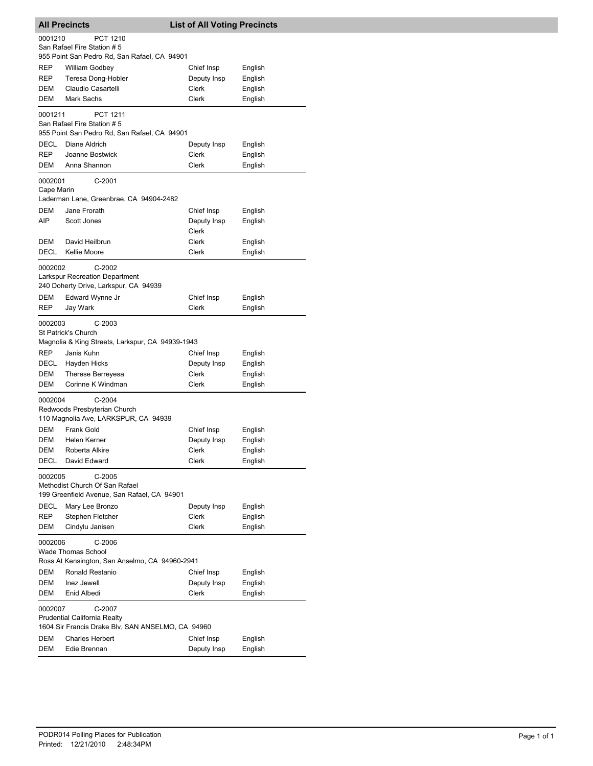| <b>All Precincts</b>  |                                                                                                    | <b>List of All Voting Precincts</b> |         |  |  |
|-----------------------|----------------------------------------------------------------------------------------------------|-------------------------------------|---------|--|--|
| 0001210               | PCT 1210<br>San Rafael Fire Station # 5                                                            |                                     |         |  |  |
|                       | 955 Point San Pedro Rd, San Rafael, CA 94901                                                       |                                     |         |  |  |
| REP                   | <b>William Godbey</b>                                                                              | Chief Insp                          | English |  |  |
| REP                   | Teresa Dong-Hobler                                                                                 | Deputy Insp                         | English |  |  |
| DEM                   | Claudio Casartelli                                                                                 | Clerk                               | English |  |  |
| DEM                   | Mark Sachs                                                                                         | Clerk                               | English |  |  |
| 0001211               | PCT 1211<br>San Rafael Fire Station # 5                                                            |                                     |         |  |  |
|                       | 955 Point San Pedro Rd, San Rafael, CA 94901                                                       |                                     |         |  |  |
| DECL                  | Diane Aldrich                                                                                      | Deputy Insp                         | English |  |  |
| <b>REP</b>            | Joanne Bostwick                                                                                    | Clerk                               | English |  |  |
| DEM                   | Anna Shannon                                                                                       | Clerk                               | English |  |  |
| 0002001<br>Cape Marin | C-2001                                                                                             |                                     |         |  |  |
|                       | Laderman Lane, Greenbrae, CA 94904-2482                                                            |                                     |         |  |  |
| <b>DEM</b>            | Jane Frorath                                                                                       | Chief Insp                          | English |  |  |
| AIP                   | Scott Jones                                                                                        | Deputy Insp<br>Clerk                | English |  |  |
| DEM                   | David Heilbrun                                                                                     | Clerk                               | English |  |  |
| DECL                  | Kellie Moore                                                                                       | Clerk                               | English |  |  |
| 0002002               | $C-2002$<br><b>Larkspur Recreation Department</b><br>240 Doherty Drive, Larkspur, CA 94939         |                                     |         |  |  |
| DEM                   | Edward Wynne Jr                                                                                    | Chief Insp                          | English |  |  |
| REP                   | Jay Wark                                                                                           | Clerk                               | English |  |  |
| 0002003               | $C-2003$<br>St Patrick's Church<br>Magnolia & King Streets, Larkspur, CA 94939-1943                |                                     |         |  |  |
| <b>REP</b>            | Janis Kuhn                                                                                         | Chief Insp                          | English |  |  |
| DECL                  | Hayden Hicks                                                                                       | Deputy Insp                         | English |  |  |
| DEM                   | Therese Berreyesa                                                                                  | Clerk                               | English |  |  |
| DEM                   | Corinne K Windman                                                                                  | Clerk                               | English |  |  |
| 0002004               | $C-2004$<br>Redwoods Presbyterian Church<br>110 Magnolia Ave, LARKSPUR, CA 94939                   |                                     |         |  |  |
| DEM                   | Frank Gold                                                                                         | Chief Insp                          | English |  |  |
| DEM                   | Helen Kerner                                                                                       | Deputy Insp                         | English |  |  |
| DEM                   | Roberta Alkire<br>David Edward                                                                     | Clerk                               | English |  |  |
| DECL                  |                                                                                                    | Clerk                               | English |  |  |
| 0002005               | $C-2005$<br>Methodist Church Of San Rafael<br>199 Greenfield Avenue, San Rafael, CA 94901          |                                     |         |  |  |
| DECL                  | Mary Lee Bronzo                                                                                    | Deputy Insp                         | English |  |  |
| <b>REP</b>            | Stephen Fletcher                                                                                   | Clerk                               | English |  |  |
| DEM                   | Cindylu Janisen                                                                                    | Clerk                               | English |  |  |
|                       | 0002006<br>$C-2006$<br><b>Wade Thomas School</b><br>Ross At Kensington, San Anselmo, CA 94960-2941 |                                     |         |  |  |
| DEM                   | Ronald Restanio                                                                                    | Chief Insp                          | English |  |  |
| DEM                   | Inez Jewell                                                                                        | Deputy Insp                         | English |  |  |
| DEM                   | Enid Albedi                                                                                        | Clerk                               | English |  |  |
| 0002007               | C-2007<br><b>Prudential California Realty</b><br>1604 Sir Francis Drake Blv, SAN ANSELMO, CA 94960 |                                     |         |  |  |
| DEM                   | <b>Charles Herbert</b>                                                                             | Chief Insp                          | English |  |  |
| <b>DEM</b>            | Edie Brennan                                                                                       | Deputy Insp                         | English |  |  |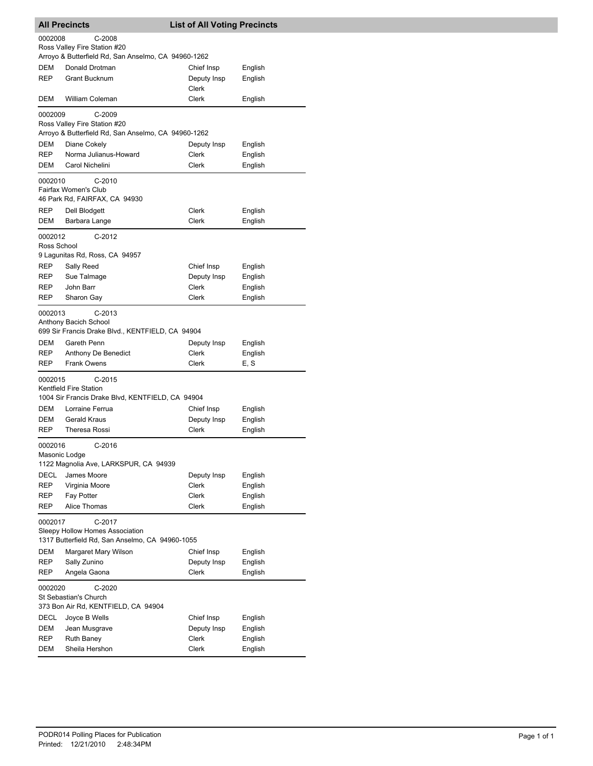| <b>All Precincts</b>   |                                                                                              | <b>List of All Voting Precincts</b> |                    |
|------------------------|----------------------------------------------------------------------------------------------|-------------------------------------|--------------------|
| 0002008                | C-2008                                                                                       |                                     |                    |
|                        | Ross Valley Fire Station #20                                                                 |                                     |                    |
|                        | Arroyo & Butterfield Rd, San Anselmo, CA 94960-1262                                          |                                     |                    |
| DEM                    | Donald Drotman                                                                               | Chief Insp                          | English            |
| <b>REP</b>             | <b>Grant Bucknum</b>                                                                         | Deputy Insp<br>Clerk                | English            |
| DEM                    | William Coleman                                                                              | Clerk                               | English            |
| 0002009                | $C-2009$                                                                                     |                                     |                    |
|                        | Ross Valley Fire Station #20                                                                 |                                     |                    |
|                        | Arroyo & Butterfield Rd, San Anselmo, CA 94960-1262                                          |                                     |                    |
| DEM<br>REP             | Diane Cokely<br>Norma Julianus-Howard                                                        | Deputy Insp<br><b>Clerk</b>         | English            |
| DEM                    | Carol Nichelini                                                                              | Clerk                               | English<br>English |
|                        |                                                                                              |                                     |                    |
| 0002010                | $C-2010$<br>Fairfax Women's Club                                                             |                                     |                    |
|                        | 46 Park Rd, FAIRFAX, CA 94930                                                                |                                     |                    |
| REP                    | Dell Blodgett                                                                                | Clerk                               | English            |
| DEM                    | Barbara Lange                                                                                | Clerk                               | English            |
|                        |                                                                                              |                                     |                    |
| 0002012<br>Ross School | C-2012                                                                                       |                                     |                    |
|                        | 9 Lagunitas Rd, Ross, CA 94957                                                               |                                     |                    |
| REP                    | Sally Reed                                                                                   | Chief Insp                          | English            |
| REP                    | Sue Talmage                                                                                  | Deputy Insp                         | English            |
| <b>REP</b>             | John Barr                                                                                    | Clerk                               | English            |
| REP                    | Sharon Gay                                                                                   | Clerk                               | English            |
| 0002013                | C-2013<br>Anthony Bacich School<br>699 Sir Francis Drake Blvd., KENTFIELD, CA 94904          |                                     |                    |
| DEM                    | Gareth Penn                                                                                  | Deputy Insp                         | English            |
| REP                    | Anthony De Benedict                                                                          | Clerk                               | English            |
| REP                    | <b>Frank Owens</b>                                                                           | Clerk                               | E, S               |
| 0002015                | $C-2015$                                                                                     |                                     |                    |
|                        | Kentfield Fire Station                                                                       |                                     |                    |
| DEM                    | 1004 Sir Francis Drake Blvd, KENTFIELD, CA 94904<br>Lorraine Ferrua                          | Chief Insp                          | English            |
| DEM                    | <b>Gerald Kraus</b>                                                                          | Deputy Insp                         | English            |
| <b>REP</b>             | Theresa Rossi                                                                                | Clerk                               | English            |
| 0002016                | $C-2016$                                                                                     |                                     |                    |
| Masonic Lodge          |                                                                                              |                                     |                    |
|                        | 1122 Magnolia Ave, LARKSPUR, CA 94939                                                        |                                     |                    |
| DECL                   | James Moore                                                                                  | Deputy Insp                         | English            |
| REP                    | Virginia Moore                                                                               | <b>Clerk</b>                        | English            |
| REP                    | Fay Potter                                                                                   | Clerk                               | English            |
| REP                    | Alice Thomas                                                                                 | Clerk                               | English            |
| 0002017                | C-2017<br>Sleepy Hollow Homes Association<br>1317 Butterfield Rd, San Anselmo, CA 94960-1055 |                                     |                    |
| DEM                    | Margaret Mary Wilson                                                                         | Chief Insp                          | English            |
| REP                    | Sally Zunino                                                                                 | Deputy Insp                         | English            |
| REP                    | Angela Gaona                                                                                 | Clerk                               | English            |
| 0002020                | C-2020<br>St Sebastian's Church                                                              |                                     |                    |
|                        | 373 Bon Air Rd, KENTFIELD, CA 94904                                                          |                                     |                    |
| DECL                   | Joyce B Wells                                                                                | Chief Insp                          | English            |
| DEM                    | Jean Musgrave                                                                                | Deputy Insp                         | English            |
| REP                    | <b>Ruth Baney</b>                                                                            | Clerk                               | English            |
| DEM                    | Sheila Hershon                                                                               | Clerk                               | English            |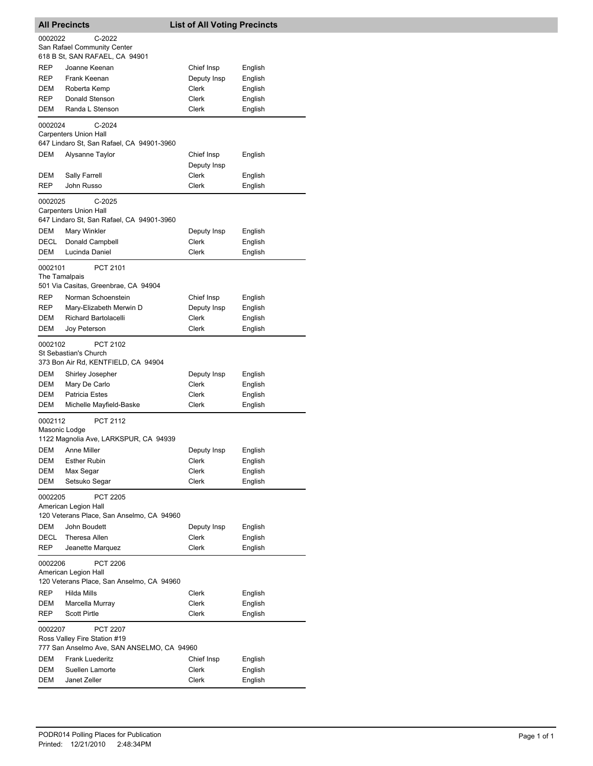| <b>All Precincts</b>     |                                                                                               | <b>List of All Voting Precincts</b> |                    |  |
|--------------------------|-----------------------------------------------------------------------------------------------|-------------------------------------|--------------------|--|
| 0002022                  | $C-2022$<br>San Rafael Community Center<br>618 B St, SAN RAFAEL, CA 94901                     |                                     |                    |  |
| <b>REP</b>               | Joanne Keenan                                                                                 | Chief Insp                          | English            |  |
| REP                      | Frank Keenan                                                                                  | Deputy Insp                         | English            |  |
| DEM                      | Roberta Kemp                                                                                  | Clerk                               | English            |  |
| REP                      | Donald Stenson                                                                                | Clerk                               | English            |  |
| DEM                      | Randa L Stenson                                                                               | Clerk                               | English            |  |
| 0002024                  | $C-2024$<br><b>Carpenters Union Hall</b><br>647 Lindaro St, San Rafael, CA 94901-3960         |                                     |                    |  |
| DEM                      | Alysanne Taylor                                                                               | Chief Insp<br>Deputy Insp           | English            |  |
| DEM                      | Sally Farrell                                                                                 | Clerk                               | English            |  |
| REP                      | John Russo                                                                                    | Clerk                               | English            |  |
| 0002025                  | C-2025<br><b>Carpenters Union Hall</b>                                                        |                                     |                    |  |
|                          | 647 Lindaro St, San Rafael, CA 94901-3960                                                     |                                     |                    |  |
| <b>DEM</b>               | Mary Winkler                                                                                  | Deputy Insp<br><b>Clerk</b>         | English            |  |
| DECL<br>DEM              | Donald Campbell<br>Lucinda Daniel                                                             | Clerk                               | English<br>English |  |
|                          |                                                                                               |                                     |                    |  |
| 0002101<br>The Tamalpais | PCT 2101<br>501 Via Casitas, Greenbrae, CA 94904                                              |                                     |                    |  |
| REP                      | Norman Schoenstein                                                                            | Chief Insp                          | English            |  |
| REP                      | Mary-Elizabeth Merwin D                                                                       | Deputy Insp                         | English            |  |
| DEM                      | Richard Bartolacelli                                                                          | Clerk                               | English            |  |
| DEM                      | Joy Peterson                                                                                  | Clerk                               | English            |  |
| 0002102                  | PCT 2102<br>St Sebastian's Church<br>373 Bon Air Rd, KENTFIELD, CA 94904                      |                                     |                    |  |
| DEM                      | Shirley Josepher                                                                              | Deputy Insp                         | English            |  |
| DEM                      | Mary De Carlo                                                                                 | Clerk                               | English            |  |
| <b>DEM</b>               | <b>Patricia Estes</b>                                                                         | Clerk                               | English            |  |
| DEM                      | Michelle Mayfield-Baske                                                                       | Clerk                               | English            |  |
| 0002112<br>Masonic Lodge | <b>PCT 2112</b><br>1122 Magnolia Ave, LARKSPUR, CA 94939                                      |                                     |                    |  |
|                          | DEM Anne Miller                                                                               | Deputy Insp                         | English            |  |
| DEM                      | <b>Esther Rubin</b>                                                                           | Clerk                               | English            |  |
| DEM                      | Max Segar                                                                                     | Clerk                               | English            |  |
| <b>DEM</b>               | Setsuko Segar                                                                                 | Clerk                               | English            |  |
| 0002205                  | PCT 2205<br>American Legion Hall<br>120 Veterans Place, San Anselmo, CA 94960                 |                                     |                    |  |
| DEM                      | John Boudett                                                                                  | Deputy Insp                         | English            |  |
| DECL                     | <b>Theresa Allen</b>                                                                          | Clerk                               | English            |  |
| REP                      | Jeanette Marquez                                                                              | Clerk                               | English            |  |
| 0002206                  | <b>PCT 2206</b><br>American Legion Hall                                                       |                                     |                    |  |
|                          | 120 Veterans Place, San Anselmo, CA 94960                                                     |                                     |                    |  |
| <b>REP</b>               | <b>Hilda Mills</b>                                                                            | Clerk                               | English            |  |
| DEM                      | Marcella Murray                                                                               | Clerk                               | English            |  |
| REP                      | <b>Scott Pirtle</b>                                                                           | Clerk                               | English            |  |
| 0002207                  | <b>PCT 2207</b><br>Ross Valley Fire Station #19<br>777 San Anselmo Ave, SAN ANSELMO, CA 94960 |                                     |                    |  |
| DEM                      | <b>Frank Luederitz</b>                                                                        | Chief Insp                          | English            |  |
| DEM                      | Suellen Lamorte                                                                               | Clerk                               | English            |  |
| <b>DEM</b>               | Janet Zeller                                                                                  | Clerk                               | English            |  |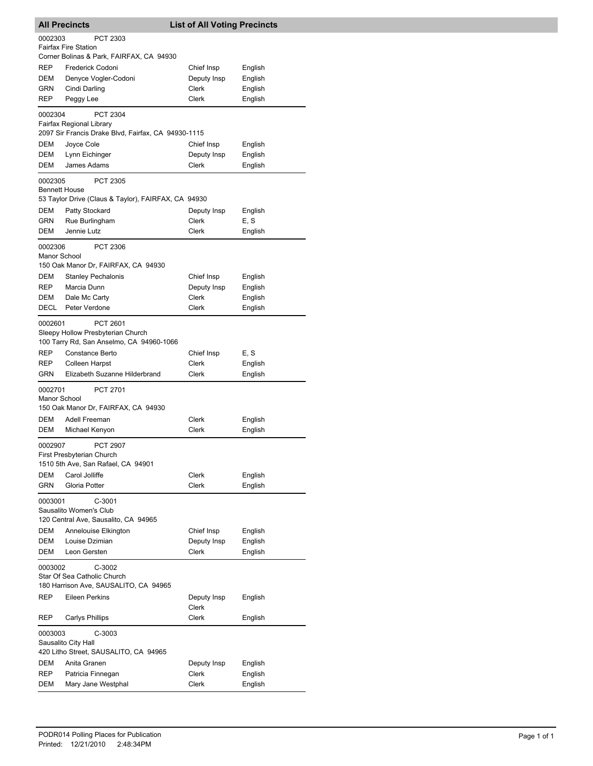| <b>All Precincts</b>            |                                                                                                    | <b>List of All Voting Precincts</b> |         |
|---------------------------------|----------------------------------------------------------------------------------------------------|-------------------------------------|---------|
| 0002303                         | PCT 2303                                                                                           |                                     |         |
|                                 | <b>Fairfax Fire Station</b>                                                                        |                                     |         |
|                                 | Corner Bolinas & Park, FAIRFAX, CA 94930                                                           |                                     |         |
| REP                             | Frederick Codoni                                                                                   | Chief Insp                          | English |
| DEM                             | Denyce Vogler-Codoni                                                                               | Deputy Insp                         | English |
| GRN                             | Cindi Darling                                                                                      | Clerk                               | English |
| <b>REP</b>                      | Peggy Lee                                                                                          | <b>Clerk</b>                        | English |
| 0002304                         | <b>PCT 2304</b><br>Fairfax Regional Library<br>2097 Sir Francis Drake Blvd, Fairfax, CA 94930-1115 |                                     |         |
| DEM                             | Joyce Cole                                                                                         | Chief Insp                          | English |
| DEM                             | Lynn Eichinger                                                                                     | Deputy Insp                         | English |
| DEM                             | James Adams                                                                                        | Clerk                               | English |
| 0002305<br><b>Bennett House</b> | <b>PCT 2305</b><br>53 Taylor Drive (Claus & Taylor), FAIRFAX, CA 94930                             |                                     |         |
| DEM                             | Patty Stockard                                                                                     | Deputy Insp                         | English |
| GRN                             | Rue Burlingham                                                                                     | Clerk                               | E, S    |
| DEM                             | Jennie Lutz                                                                                        | Clerk                               | English |
| 0002306<br>Manor School         | PCT 2306<br>150 Oak Manor Dr, FAIRFAX, CA 94930                                                    |                                     |         |
| DEM                             | <b>Stanley Pechalonis</b>                                                                          | Chief Insp                          | English |
| REP                             | Marcia Dunn                                                                                        | Deputy Insp                         | English |
| DEM                             | Dale Mc Carty                                                                                      | Clerk                               | English |
| DECL                            | Peter Verdone                                                                                      | Clerk                               | English |
| 0002601                         | PCT 2601<br>Sleepy Hollow Presbyterian Church<br>100 Tarry Rd, San Anselmo, CA 94960-1066          |                                     |         |
| REP                             | Constance Berto                                                                                    | Chief Insp                          | E, S    |
| REP                             | Colleen Harpst                                                                                     | Clerk                               | English |
| GRN                             | Elizabeth Suzanne Hilderbrand                                                                      | Clerk                               | English |
| 0002701<br>Manor School         | <b>PCT 2701</b><br>150 Oak Manor Dr, FAIRFAX, CA 94930                                             |                                     |         |
| DEM                             | Adell Freeman                                                                                      | Clerk                               | English |
| <b>DEM</b>                      | Michael Kenyon                                                                                     | Clerk                               | English |
| 0002907                         | <b>PCT 2907</b><br>First Presbyterian Church<br>1510 5th Ave, San Rafael, CA 94901                 |                                     |         |
| DEM                             | Carol Jolliffe                                                                                     | Clerk                               | English |
| <b>GRN</b>                      | Gloria Potter                                                                                      | Clerk                               | English |
| 0003001                         | $C-3001$<br>Sausalito Women's Club<br>120 Central Ave, Sausalito, CA 94965                         |                                     |         |
| DEM                             | Annelouise Elkington                                                                               | Chief Insp                          | English |
| DEM                             | Louise Dzimian                                                                                     | Deputy Insp                         | English |
| DEM                             | Leon Gersten                                                                                       | <b>Clerk</b>                        | English |
| 0003002                         | $C-3002$<br>Star Of Sea Catholic Church<br>180 Harrison Ave, SAUSALITO, CA 94965                   |                                     |         |
| REP                             | Eileen Perkins                                                                                     | Deputy Insp                         | English |
| <b>REP</b>                      | <b>Carlys Phillips</b>                                                                             | Clerk<br>Clerk                      | English |
|                                 |                                                                                                    |                                     |         |
| 0003003                         | $C-3003$<br>Sausalito City Hall<br>420 Litho Street, SAUSALITO, CA 94965                           |                                     |         |
| DEM                             | Anita Granen                                                                                       | Deputy Insp                         | English |
| REP                             | Patricia Finnegan                                                                                  | Clerk                               | English |
| DEM                             | Mary Jane Westphal                                                                                 | Clerk                               | English |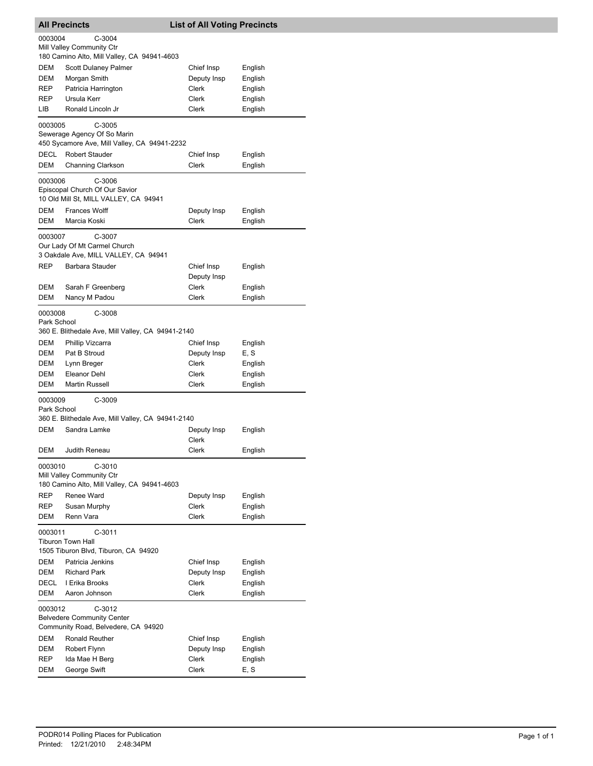| <b>All Precincts</b>   |                                                                                   | <b>List of All Voting Precincts</b> |         |
|------------------------|-----------------------------------------------------------------------------------|-------------------------------------|---------|
| 0003004                | C-3004                                                                            |                                     |         |
|                        | Mill Valley Community Ctr                                                         |                                     |         |
|                        | 180 Camino Alto, Mill Valley, CA 94941-4603                                       |                                     |         |
| DEM                    | Scott Dulaney Palmer                                                              | Chief Insp                          | English |
| DEM                    | Morgan Smith                                                                      | Deputy Insp                         | English |
| REP                    | Patricia Harrington                                                               | Clerk                               | English |
| REP                    | Ursula Kerr                                                                       | Clerk                               | English |
| LIB.                   | Ronald Lincoln Jr                                                                 | Clerk                               | English |
| 0003005                | $C-3005$<br>Sewerage Agency Of So Marin                                           |                                     |         |
|                        | 450 Sycamore Ave, Mill Valley, CA 94941-2232                                      |                                     |         |
| DECL                   | <b>Robert Stauder</b>                                                             | Chief Insp                          | English |
| DEM                    | <b>Channing Clarkson</b>                                                          | Clerk                               | English |
| 0003006                | C-3006<br>Episcopal Church Of Our Savior<br>10 Old Mill St, MILL VALLEY, CA 94941 |                                     |         |
| DEM                    | <b>Frances Wolff</b>                                                              | Deputy Insp                         | English |
| <b>DEM</b>             | Marcia Koski                                                                      | Clerk                               | English |
| 0003007                | C-3007                                                                            |                                     |         |
|                        | Our Lady Of Mt Carmel Church<br>3 Oakdale Ave, MILL VALLEY, CA 94941              |                                     |         |
| <b>REP</b>             | Barbara Stauder                                                                   | Chief Insp                          | English |
|                        |                                                                                   | Deputy Insp                         |         |
| DEM                    | Sarah F Greenberg                                                                 | Clerk                               | English |
| <b>DEM</b>             | Nancy M Padou                                                                     | Clerk                               | English |
|                        | C-3008                                                                            |                                     |         |
| 0003008<br>Park School |                                                                                   |                                     |         |
|                        | 360 E. Blithedale Ave, Mill Valley, CA 94941-2140                                 |                                     |         |
| DEM                    | Phillip Vizcarra                                                                  | Chief Insp                          | English |
| DEM                    | Pat B Stroud                                                                      | Deputy Insp                         | E, S    |
| DEM                    | Lynn Breger                                                                       | Clerk                               | English |
| DEM                    | Eleanor Dehl                                                                      | Clerk                               | English |
| DEM                    | <b>Martin Russell</b>                                                             | Clerk                               | English |
| 0003009<br>Park School | C-3009<br>360 E. Blithedale Ave, Mill Valley, CA 94941-2140                       |                                     |         |
| DEM                    | Sandra Lamke                                                                      | Deputy Insp                         | English |
|                        |                                                                                   | Clerk                               |         |
| DEM                    | Judith Reneau                                                                     | Clerk                               | English |
| 0003010                | $C-3010$                                                                          |                                     |         |
|                        | Mill Valley Community Ctr<br>180 Camino Alto, Mill Valley, CA 94941-4603          |                                     |         |
| REP                    | Renee Ward                                                                        | Deputy Insp                         | English |
| <b>REP</b>             | Susan Murphy                                                                      | Clerk                               | English |
| DEM                    | Renn Vara                                                                         | Clerk                               | English |
| 0003011                | $C-3011$                                                                          |                                     |         |
|                        | <b>Tiburon Town Hall</b><br>1505 Tiburon Blvd, Tiburon, CA 94920                  |                                     |         |
| DEM                    | Patricia Jenkins                                                                  | Chief Insp                          | English |
| <b>DEM</b>             | <b>Richard Park</b>                                                               | Deputy Insp                         | English |
| DECL                   | I Erika Brooks                                                                    | Clerk                               | English |
| DEM                    | Aaron Johnson                                                                     | Clerk                               | English |
| 0003012                | C-3012                                                                            |                                     |         |
|                        | <b>Belvedere Community Center</b>                                                 |                                     |         |
|                        | Community Road, Belvedere, CA 94920                                               |                                     |         |
| DEM                    | Ronald Reuther                                                                    | Chief Insp                          | English |
| <b>DEM</b>             | Robert Flynn                                                                      | Deputy Insp                         | English |
| <b>REP</b>             | Ida Mae H Berg                                                                    | Clerk                               | English |
| DEM                    | George Swift                                                                      | Clerk                               | E, S    |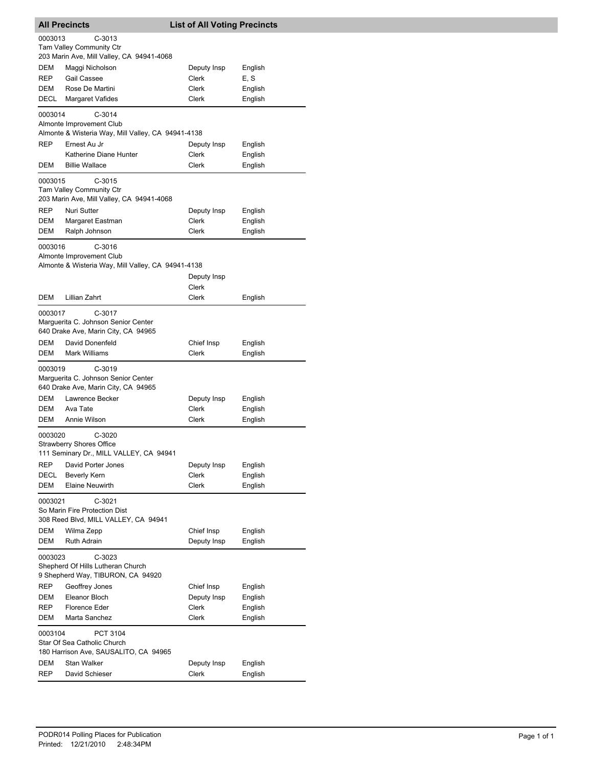| <b>All Precincts</b> |                                                                                          | <b>List of All Voting Precincts</b> |                    |
|----------------------|------------------------------------------------------------------------------------------|-------------------------------------|--------------------|
| 0003013              | $C-3013$                                                                                 |                                     |                    |
|                      | Tam Valley Community Ctr                                                                 |                                     |                    |
|                      | 203 Marin Ave, Mill Valley, CA 94941-4068                                                |                                     |                    |
| DEM                  | Maggi Nicholson                                                                          | Deputy Insp                         | English            |
| <b>REP</b><br>DEM    | Gail Cassee<br>Rose De Martini                                                           | Clerk<br>Clerk                      | E, S<br>English    |
| <b>DECL</b>          | Margaret Vafides                                                                         | Clerk                               | English            |
|                      |                                                                                          |                                     |                    |
| 0003014              | $C-3014$                                                                                 |                                     |                    |
|                      | Almonte Improvement Club<br>Almonte & Wisteria Way, Mill Valley, CA 94941-4138           |                                     |                    |
| <b>REP</b>           | Ernest Au Jr                                                                             | Deputy Insp                         | English            |
|                      | Katherine Diane Hunter                                                                   | Clerk                               | English            |
| DEM                  | <b>Billie Wallace</b>                                                                    | Clerk                               | English            |
|                      |                                                                                          |                                     |                    |
| 0003015              | $C-3015$<br><b>Tam Valley Community Ctr</b><br>203 Marin Ave, Mill Valley, CA 94941-4068 |                                     |                    |
| <b>REP</b>           | Nuri Sutter                                                                              | Deputy Insp                         | English            |
| <b>DEM</b>           | Margaret Eastman                                                                         | Clerk                               | English            |
| DEM                  | Ralph Johnson                                                                            | Clerk                               | English            |
|                      |                                                                                          |                                     |                    |
| 0003016              | $C-3016$<br>Almonte Improvement Club                                                     |                                     |                    |
|                      | Almonte & Wisteria Way, Mill Valley, CA 94941-4138                                       |                                     |                    |
|                      |                                                                                          | Deputy Insp                         |                    |
|                      |                                                                                          | Clerk                               |                    |
| DEM                  | Lillian Zahrt                                                                            | Clerk                               | English            |
| 0003017              | $C-3017$                                                                                 |                                     |                    |
|                      | Marguerita C. Johnson Senior Center                                                      |                                     |                    |
|                      | 640 Drake Ave, Marin City, CA 94965                                                      |                                     |                    |
| DEM                  | David Donenfeld                                                                          | Chief Insp                          | English            |
| DEM                  | <b>Mark Williams</b>                                                                     | Clerk                               | English            |
| 0003019              | $C-3019$                                                                                 |                                     |                    |
|                      | Marguerita C. Johnson Senior Center                                                      |                                     |                    |
|                      | 640 Drake Ave, Marin City, CA 94965                                                      |                                     |                    |
| DEM                  | Lawrence Becker<br>Ava Tate                                                              | Deputy Insp<br>Clerk                | English            |
| DEM<br>DEM           | Annie Wilson                                                                             | Clerk                               | English<br>English |
|                      |                                                                                          |                                     |                    |
| 0003020              | $C-3020$                                                                                 |                                     |                    |
|                      | <b>Strawberry Shores Office</b><br>111 Seminary Dr., MILL VALLEY, CA 94941               |                                     |                    |
| REP                  | David Porter Jones                                                                       | Deputy Insp                         | English            |
| DECL                 | Beverly Kern                                                                             | Clerk                               | English            |
| <b>DEM</b>           | <b>Elaine Neuwirth</b>                                                                   | Clerk                               | English            |
| 0003021              |                                                                                          |                                     |                    |
|                      | $C-3021$<br>So Marin Fire Protection Dist                                                |                                     |                    |
|                      | 308 Reed Blvd, MILL VALLEY, CA 94941                                                     |                                     |                    |
| DEM                  | Wilma Zepp                                                                               | Chief Insp                          | English            |
| <b>DEM</b>           | Ruth Adrain                                                                              | Deputy Insp                         | English            |
| 0003023              | $C-3023$                                                                                 |                                     |                    |
|                      | Shepherd Of Hills Lutheran Church                                                        |                                     |                    |
|                      | 9 Shepherd Way, TIBURON, CA 94920                                                        |                                     |                    |
| <b>REP</b>           | Geoffrey Jones                                                                           | Chief Insp                          | English            |
| DEM                  | Eleanor Bloch                                                                            | Deputy Insp                         | English            |
| REP                  | Florence Eder                                                                            | Clerk                               | English            |
| DEM                  | Marta Sanchez                                                                            | Clerk                               | English            |
| 0003104              | PCT 3104<br>Star Of Sea Catholic Church                                                  |                                     |                    |
|                      | 180 Harrison Ave, SAUSALITO, CA 94965                                                    |                                     |                    |
| DEM                  | Stan Walker                                                                              | Deputy Insp                         | English            |
| <b>REP</b>           | David Schieser                                                                           | Clerk                               | English            |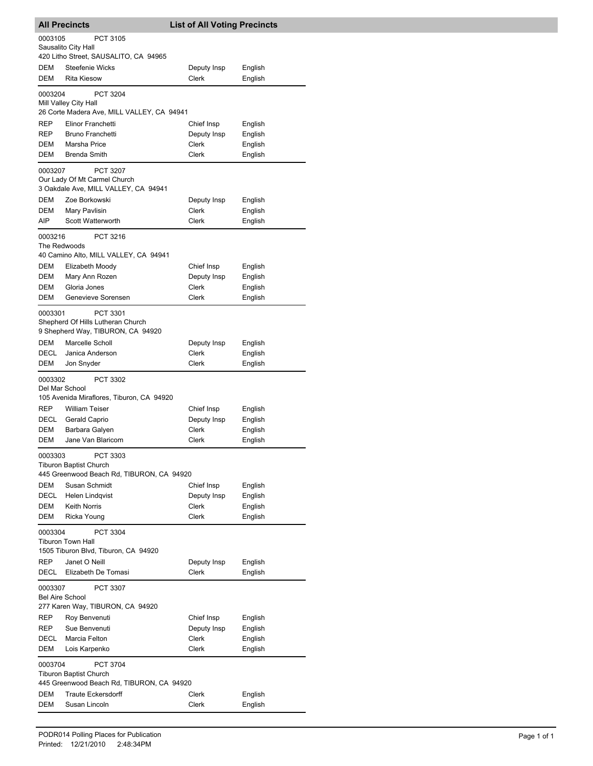| <b>All Precincts</b>   |                                                                 | <b>List of All Voting Precincts</b> |                    |
|------------------------|-----------------------------------------------------------------|-------------------------------------|--------------------|
| 0003105                | PCT 3105                                                        |                                     |                    |
|                        | Sausalito City Hall                                             |                                     |                    |
| DEM                    | 420 Litho Street, SAUSALITO, CA 94965<br><b>Steefenie Wicks</b> | Deputy Insp                         | English            |
| DEM                    | <b>Rita Kiesow</b>                                              | Clerk                               | English            |
| 0003204                | PCT 3204                                                        |                                     |                    |
|                        | Mill Valley City Hall                                           |                                     |                    |
|                        | 26 Corte Madera Ave, MILL VALLEY, CA 94941                      |                                     |                    |
| REP                    | Elinor Franchetti                                               | Chief Insp                          | English            |
| REP                    | <b>Bruno Franchetti</b>                                         | Deputy Insp                         | English            |
| DEM<br><b>DEM</b>      | Marsha Price<br><b>Brenda Smith</b>                             | Clerk<br>Clerk                      | English<br>English |
|                        |                                                                 |                                     |                    |
| 0003207                | PCT 3207<br>Our Lady Of Mt Carmel Church                        |                                     |                    |
|                        | 3 Oakdale Ave, MILL VALLEY, CA 94941                            |                                     |                    |
| <b>DEM</b>             | Zoe Borkowski                                                   | Deputy Insp                         | English            |
| DEM                    | Mary Pavlisin                                                   | Clerk                               | English            |
| AIP                    | Scott Watterworth                                               | Clerk                               | English            |
| 0003216                | PCT 3216                                                        |                                     |                    |
| The Redwoods           |                                                                 |                                     |                    |
| DEM                    | 40 Camino Alto, MILL VALLEY, CA 94941<br>Elizabeth Moody        | Chief Insp                          | English            |
| DEM                    | Mary Ann Rozen                                                  | Deputy Insp                         | English            |
| DEM                    | Gloria Jones                                                    | Clerk                               | English            |
| DEM                    | Genevieve Sorensen                                              | Clerk                               | English            |
| 0003301                | PCT 3301                                                        |                                     |                    |
|                        | Shepherd Of Hills Lutheran Church                               |                                     |                    |
|                        | 9 Shepherd Way, TIBURON, CA 94920                               |                                     |                    |
| DEM                    | Marcelle Scholl                                                 | Deputy Insp                         | English            |
| DECL                   | Janica Anderson                                                 | Clerk<br>Clerk                      | English            |
| DEM                    | Jon Snyder                                                      |                                     | English            |
| 0003302                | PCT 3302                                                        |                                     |                    |
| Del Mar School         | 105 Avenida Miraflores, Tiburon, CA 94920                       |                                     |                    |
| REP                    | <b>William Teiser</b>                                           | Chief Insp                          | English            |
| DECL                   | Gerald Caprio                                                   | Deputy Insp                         | English            |
| DEM                    | Barbara Galyen                                                  | Clerk                               | English            |
| DEM                    | Jane Van Blaricom                                               | Clerk                               | English            |
| 0003303                | PCT 3303                                                        |                                     |                    |
|                        | <b>Tiburon Baptist Church</b>                                   |                                     |                    |
|                        | 445 Greenwood Beach Rd, TIBURON, CA 94920                       |                                     |                    |
| DEM<br>DECL            | Susan Schmidt<br>Helen Lindqvist                                | Chief Insp<br>Deputy Insp           | English<br>English |
| DEM                    | Keith Norris                                                    | Clerk                               | English            |
| <b>DEM</b>             | Ricka Young                                                     | Clerk                               | English            |
| 0003304                | PCT 3304                                                        |                                     |                    |
|                        | <b>Tiburon Town Hall</b>                                        |                                     |                    |
|                        | 1505 Tiburon Blvd, Tiburon, CA 94920                            |                                     |                    |
| REP                    | Janet O Neill                                                   | Deputy Insp                         | English            |
| DECL                   | Elizabeth De Tomasi                                             | Clerk                               | English            |
| 0003307                | PCT 3307                                                        |                                     |                    |
| <b>Bel Aire School</b> | 277 Karen Way, TIBURON, CA 94920                                |                                     |                    |
| REP                    | Roy Benvenuti                                                   | Chief Insp                          | English            |
| REP                    | Sue Benvenuti                                                   | Deputy Insp                         | English            |
| DECL                   | Marcia Felton                                                   | Clerk                               | English            |
| DEM                    | Lois Karpenko                                                   | Clerk                               | English            |
| 0003704                | <b>PCT 3704</b>                                                 |                                     |                    |
|                        | <b>Tiburon Baptist Church</b>                                   |                                     |                    |
|                        | 445 Greenwood Beach Rd, TIBURON, CA 94920                       |                                     |                    |
| DEM                    | <b>Traute Eckersdorff</b>                                       | Clerk                               | English            |
| DEM                    | Susan Lincoln                                                   | Clerk                               | English            |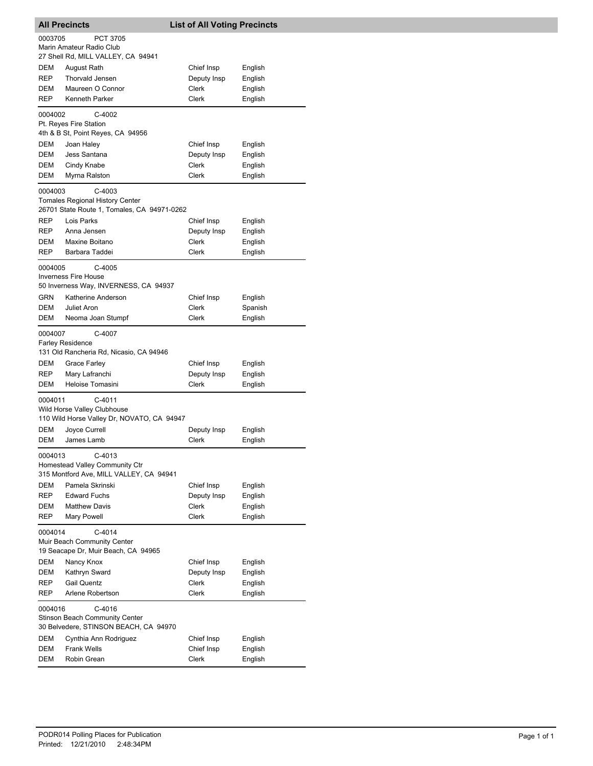| <b>All Precincts</b> |                                                                                                 | <b>List of All Voting Precincts</b> |                    |  |  |
|----------------------|-------------------------------------------------------------------------------------------------|-------------------------------------|--------------------|--|--|
| 0003705              | <b>PCT 3705</b><br>Marin Amateur Radio Club<br>27 Shell Rd, MILL VALLEY, CA 94941               |                                     |                    |  |  |
| DEM                  | August Rath                                                                                     | Chief Insp                          | English            |  |  |
| <b>REP</b>           | <b>Thorvald Jensen</b>                                                                          | Deputy Insp                         | English            |  |  |
| DEM                  | Maureen O Connor                                                                                | Clerk                               | English            |  |  |
| <b>REP</b>           | Kenneth Parker                                                                                  | Clerk                               | English            |  |  |
| 0004002              | C-4002<br>Pt. Reyes Fire Station                                                                |                                     |                    |  |  |
|                      | 4th & B St, Point Reyes, CA 94956                                                               |                                     |                    |  |  |
| DEM                  | Joan Haley                                                                                      | Chief Insp                          | English            |  |  |
| DEM                  | Jess Santana                                                                                    | Deputy Insp                         | English            |  |  |
| DEM                  | Cindy Knabe                                                                                     | Clerk                               | English            |  |  |
| DEM                  | Myrna Ralston                                                                                   | Clerk                               | English            |  |  |
| 0004003              | C-4003<br><b>Tomales Regional History Center</b><br>26701 State Route 1, Tomales, CA 94971-0262 |                                     |                    |  |  |
| REP                  | Lois Parks                                                                                      | Chief Insp                          | English            |  |  |
| REP                  | Anna Jensen                                                                                     | Deputy Insp                         | English            |  |  |
| DEM                  | Maxine Boitano                                                                                  | Clerk                               | English            |  |  |
| REP                  | Barbara Taddei                                                                                  | Clerk                               | English            |  |  |
| 0004005              | C-4005<br><b>Inverness Fire House</b><br>50 Inverness Way, INVERNESS, CA 94937                  |                                     |                    |  |  |
| GRN                  | Katherine Anderson                                                                              | Chief Insp                          | English            |  |  |
| DEM                  | Juliet Aron                                                                                     | Clerk                               | Spanish            |  |  |
| DEM                  | Neoma Joan Stumpf                                                                               | Clerk                               | English            |  |  |
| 0004007              | C-4007<br><b>Farley Residence</b><br>131 Old Rancheria Rd, Nicasio, CA 94946                    |                                     |                    |  |  |
| DEM                  | Grace Farley                                                                                    | Chief Insp                          | English            |  |  |
| REP                  | Mary Lafranchi                                                                                  | Deputy Insp                         | English            |  |  |
| DEM                  | Heloise Tomasini                                                                                | Clerk                               | English            |  |  |
| 0004011              | $C-4011$<br>Wild Horse Valley Clubhouse<br>110 Wild Horse Valley Dr, NOVATO, CA 94947           |                                     |                    |  |  |
| DEM                  | Joyce Currell                                                                                   | Deputy Insp                         | English            |  |  |
| DEM                  | James Lamb                                                                                      | Clerk                               | English            |  |  |
| 0004013              | C-4013<br>Homestead Valley Community Ctr<br>315 Montford Ave, MILL VALLEY, CA 94941             |                                     |                    |  |  |
| DEM                  | Pamela Skrinski                                                                                 | Chief Insp                          | English            |  |  |
| REP                  | <b>Edward Fuchs</b>                                                                             | Deputy Insp                         | English            |  |  |
| DEM                  | <b>Matthew Davis</b>                                                                            | Clerk                               | English            |  |  |
| REP<br>0004014       | Mary Powell<br>$C-4014$<br>Muir Beach Community Center                                          | Clerk                               | English            |  |  |
|                      | 19 Seacape Dr, Muir Beach, CA 94965                                                             |                                     |                    |  |  |
| DEM<br><b>DEM</b>    | Nancy Knox<br>Kathryn Sward                                                                     | Chief Insp<br>Deputy Insp           | English<br>English |  |  |
| REP                  | <b>Gail Quentz</b>                                                                              | Clerk                               | English            |  |  |
| REP                  | Arlene Robertson                                                                                | Clerk                               | English            |  |  |
|                      | 0004016<br>$C-4016$<br><b>Stinson Beach Community Center</b>                                    |                                     |                    |  |  |
| DEM                  | 30 Belvedere, STINSON BEACH, CA 94970<br>Cynthia Ann Rodriguez                                  | Chief Insp                          | English            |  |  |
| DEM                  | <b>Frank Wells</b>                                                                              | Chief Insp                          | English            |  |  |
| DEM                  | Robin Grean                                                                                     | Clerk                               | English            |  |  |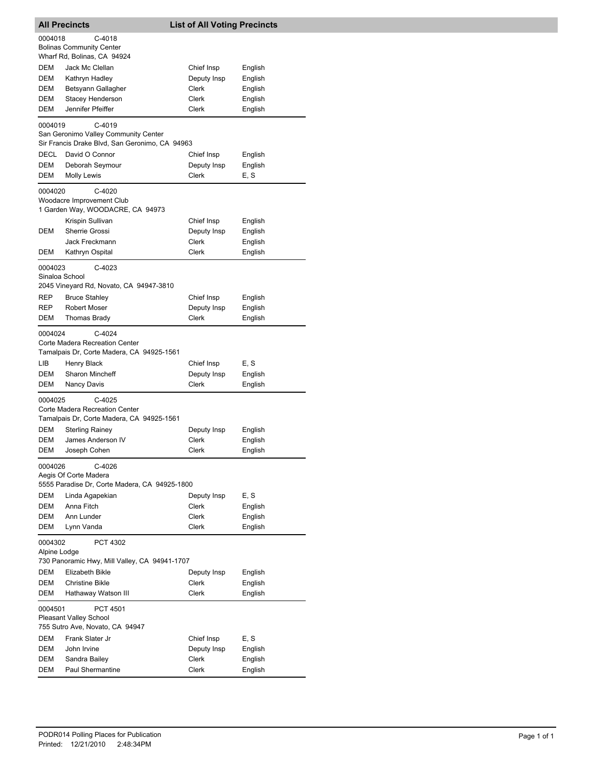|                                                                                      | <b>All Precincts</b><br><b>List of All Voting Precincts</b>                                            |                      |                    |
|--------------------------------------------------------------------------------------|--------------------------------------------------------------------------------------------------------|----------------------|--------------------|
| 0004018                                                                              | C-4018<br><b>Bolinas Community Center</b><br>Wharf Rd, Bolinas, CA 94924                               |                      |                    |
| DEM                                                                                  | <b>Jack Mc Clellan</b>                                                                                 | Chief Insp           | English            |
| DEM                                                                                  | Kathryn Hadley                                                                                         | Deputy Insp          | English            |
| DEM                                                                                  | Betsyann Gallagher                                                                                     | Clerk                | English            |
| DEM                                                                                  | Stacey Henderson                                                                                       | Clerk                | English            |
| DEM                                                                                  | Jennifer Pfeiffer                                                                                      | Clerk                | English            |
| 0004019                                                                              | $C-4019$<br>San Geronimo Valley Community Center<br>Sir Francis Drake Blvd, San Geronimo, CA 94963     |                      |                    |
| DECL                                                                                 | David O Connor                                                                                         | Chief Insp           | English            |
| DEM                                                                                  | Deborah Seymour                                                                                        | Deputy Insp          | English            |
| DEM                                                                                  | <b>Molly Lewis</b>                                                                                     | Clerk                | E, S               |
| 0004020                                                                              | $C-4020$<br>Woodacre Improvement Club<br>1 Garden Way, WOODACRE, CA 94973                              |                      |                    |
|                                                                                      | Krispin Sullivan                                                                                       | Chief Insp           | English            |
| DEM                                                                                  | Sherrie Grossi                                                                                         | Deputy Insp          | English            |
|                                                                                      | Jack Freckmann                                                                                         | Clerk                | English            |
| DEM                                                                                  | Kathryn Ospital                                                                                        | <b>Clerk</b>         | English            |
| 0004023<br>Sinaloa School                                                            | C-4023<br>2045 Vineyard Rd, Novato, CA 94947-3810                                                      |                      |                    |
| REP                                                                                  | <b>Bruce Stahley</b>                                                                                   | Chief Insp           | English            |
| REP                                                                                  | <b>Robert Moser</b>                                                                                    | Deputy Insp          | English            |
| DEM                                                                                  | Thomas Brady                                                                                           | Clerk                | English            |
| 0004024<br>LІВ                                                                       | $C-4024$<br>Corte Madera Recreation Center<br>Tamalpais Dr, Corte Madera, CA 94925-1561<br>Henry Black | Chief Insp           | E, S               |
| DEM                                                                                  | <b>Sharon Mincheff</b>                                                                                 | Deputy Insp          | English            |
| DEM                                                                                  | Nancy Davis                                                                                            | Clerk                | English            |
| 0004025                                                                              | $C-4025$<br>Corte Madera Recreation Center<br>Tamalpais Dr, Corte Madera, CA 94925-1561                |                      |                    |
| DEM                                                                                  | <b>Sterling Rainey</b>                                                                                 | Deputy Insp          | English            |
| DEM                                                                                  | James Anderson IV                                                                                      | Clerk                | English            |
| DEM                                                                                  | Joseph Cohen                                                                                           | Clerk                | English            |
| 0004026                                                                              | C-4026<br>Aegis Of Corte Madera<br>5555 Paradise Dr, Corte Madera, CA 94925-1800                       |                      |                    |
| DEM                                                                                  | Linda Agapekian                                                                                        | Deputy Insp          | E, S               |
| DEM                                                                                  | Anna Fitch                                                                                             | Clerk                | English            |
| DEM                                                                                  | Ann Lunder                                                                                             | Clerk                | English            |
| DEM                                                                                  | Lynn Vanda                                                                                             | Clerk                | English            |
| 0004302<br>PCT 4302<br>Alpine Lodge<br>730 Panoramic Hwy, Mill Valley, CA 94941-1707 |                                                                                                        |                      |                    |
| DEM                                                                                  | Elizabeth Bikle                                                                                        | Deputy Insp          | English            |
| DEM                                                                                  | <b>Christine Bikle</b>                                                                                 | Clerk                | English            |
| DEM                                                                                  | Hathaway Watson III                                                                                    | Clerk                | English            |
| 0004501                                                                              | <b>PCT 4501</b><br><b>Pleasant Valley School</b><br>755 Sutro Ave, Novato, CA 94947                    |                      |                    |
|                                                                                      |                                                                                                        |                      |                    |
| DEM<br>DEM                                                                           | Frank Slater Jr<br>John Irvine                                                                         | Chief Insp           | E, S               |
| DEM                                                                                  | Sandra Bailey                                                                                          | Deputy Insp<br>Clerk | English<br>English |
| DEM                                                                                  | <b>Paul Shermantine</b>                                                                                | Clerk                | English            |
|                                                                                      |                                                                                                        |                      |                    |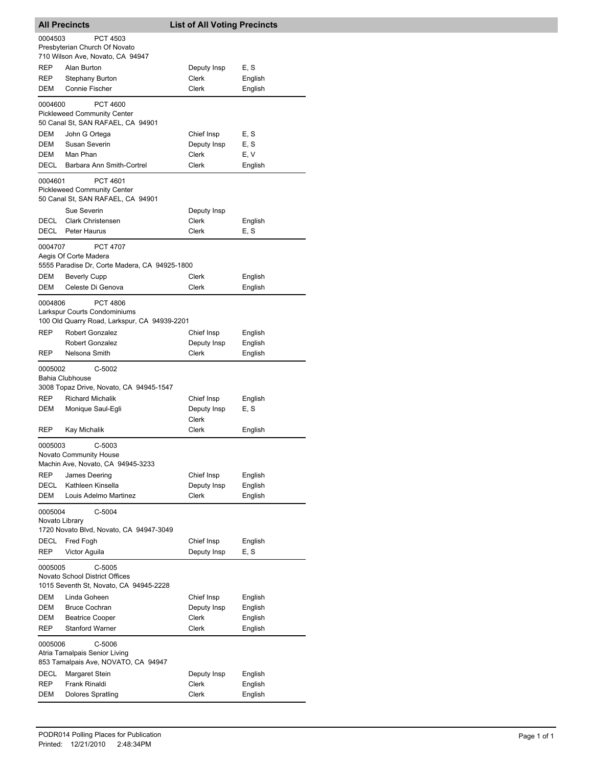| <b>All Precincts</b>                                                 |                                                                        | <b>List of All Voting Precincts</b> |                    |  |  |
|----------------------------------------------------------------------|------------------------------------------------------------------------|-------------------------------------|--------------------|--|--|
| 0004503                                                              | <b>PCT 4503</b>                                                        |                                     |                    |  |  |
|                                                                      | Presbyterian Church Of Novato<br>710 Wilson Ave, Novato, CA 94947      |                                     |                    |  |  |
| <b>REP</b>                                                           | Alan Burton                                                            | Deputy Insp                         | E, S               |  |  |
| <b>REP</b>                                                           | Stephany Burton                                                        | Clerk                               | English            |  |  |
| DEM                                                                  | Connie Fischer                                                         | Clerk                               | English            |  |  |
| 0004600                                                              | <b>PCT 4600</b>                                                        |                                     |                    |  |  |
|                                                                      | <b>Pickleweed Community Center</b>                                     |                                     |                    |  |  |
|                                                                      | 50 Canal St, SAN RAFAEL, CA 94901                                      |                                     |                    |  |  |
| DEM<br>DEM                                                           | John G Ortega<br>Susan Severin                                         | Chief Insp                          | E, S<br>E, S       |  |  |
| DEM                                                                  | Man Phan                                                               | Deputy Insp<br>Clerk                | E, V               |  |  |
| DECL                                                                 | Barbara Ann Smith-Cortrel                                              | <b>Clerk</b>                        | English            |  |  |
| 0004601                                                              | <b>PCT 4601</b>                                                        |                                     |                    |  |  |
|                                                                      | <b>Pickleweed Community Center</b>                                     |                                     |                    |  |  |
|                                                                      | 50 Canal St, SAN RAFAEL, CA 94901                                      |                                     |                    |  |  |
|                                                                      | Sue Severin                                                            | Deputy Insp                         |                    |  |  |
| DECL                                                                 | <b>Clark Christensen</b>                                               | Clerk<br>Clerk                      | English            |  |  |
| DECL                                                                 | <b>Peter Haurus</b>                                                    |                                     | E, S               |  |  |
| 0004707                                                              | <b>PCT 4707</b>                                                        |                                     |                    |  |  |
|                                                                      | Aegis Of Corte Madera<br>5555 Paradise Dr, Corte Madera, CA 94925-1800 |                                     |                    |  |  |
| DEM                                                                  | Beverly Cupp                                                           | Clerk                               | English            |  |  |
| DEM                                                                  | Celeste Di Genova                                                      | Clerk                               | English            |  |  |
| 0004806                                                              | <b>PCT 4806</b>                                                        |                                     |                    |  |  |
|                                                                      | Larkspur Courts Condominiums                                           |                                     |                    |  |  |
|                                                                      | 100 Old Quarry Road, Larkspur, CA 94939-2201                           |                                     |                    |  |  |
| <b>REP</b>                                                           | <b>Robert Gonzalez</b>                                                 | Chief Insp                          | English            |  |  |
| <b>REP</b>                                                           | <b>Robert Gonzalez</b><br>Nelsona Smith                                | Deputy Insp<br>Clerk                | English<br>English |  |  |
|                                                                      |                                                                        |                                     |                    |  |  |
| 0005002                                                              | $C-5002$<br><b>Bahia Clubhouse</b>                                     |                                     |                    |  |  |
|                                                                      | 3008 Topaz Drive, Novato, CA 94945-1547                                |                                     |                    |  |  |
| <b>REP</b>                                                           | <b>Richard Michalik</b>                                                | Chief Insp                          | English            |  |  |
| DEM                                                                  | Monique Saul-Egli                                                      | Deputy Insp                         | E, S               |  |  |
|                                                                      |                                                                        | Clerk                               |                    |  |  |
| REP                                                                  | Kay Michalik                                                           | Clerk                               | English            |  |  |
| 0005003                                                              | $C-5003$                                                               |                                     |                    |  |  |
|                                                                      | Novato Community House<br>Machin Ave, Novato, CA 94945-3233            |                                     |                    |  |  |
| <b>REP</b>                                                           | James Deering                                                          | Chief Insp                          | English            |  |  |
| <b>DECL</b>                                                          | Kathleen Kinsella                                                      | Deputy Insp                         | English            |  |  |
| <b>DEM</b>                                                           | Louis Adelmo Martinez                                                  | <b>Clerk</b>                        | English            |  |  |
| 0005004                                                              | $C-5004$                                                               |                                     |                    |  |  |
|                                                                      | Novato Library                                                         |                                     |                    |  |  |
|                                                                      | 1720 Novato Blvd, Novato, CA 94947-3049                                |                                     |                    |  |  |
| DECL<br><b>REP</b>                                                   | Fred Fogh<br>Victor Aguila                                             | Chief Insp<br>Deputy Insp           | English<br>E, S    |  |  |
|                                                                      |                                                                        |                                     |                    |  |  |
| 0005005                                                              | $C-5005$<br>Novato School District Offices                             |                                     |                    |  |  |
|                                                                      | 1015 Seventh St, Novato, CA 94945-2228                                 |                                     |                    |  |  |
| DEM                                                                  | Linda Goheen                                                           | Chief Insp                          | English            |  |  |
| <b>DEM</b>                                                           | <b>Bruce Cochran</b>                                                   | Deputy Insp                         | English            |  |  |
| DEM                                                                  | <b>Beatrice Cooper</b>                                                 | Clerk                               | English            |  |  |
| <b>REP</b>                                                           | <b>Stanford Warner</b>                                                 | <b>Clerk</b>                        | English            |  |  |
| 0005006                                                              | C-5006                                                                 |                                     |                    |  |  |
| Atria Tamalpais Senior Living<br>853 Tamalpais Ave, NOVATO, CA 94947 |                                                                        |                                     |                    |  |  |
| DECL                                                                 | Margaret Stein                                                         | Deputy Insp                         | English            |  |  |
| <b>REP</b>                                                           | Frank Rinaldi                                                          | Clerk                               | English            |  |  |
| DEM                                                                  | <b>Dolores Spratling</b>                                               | Clerk                               | English            |  |  |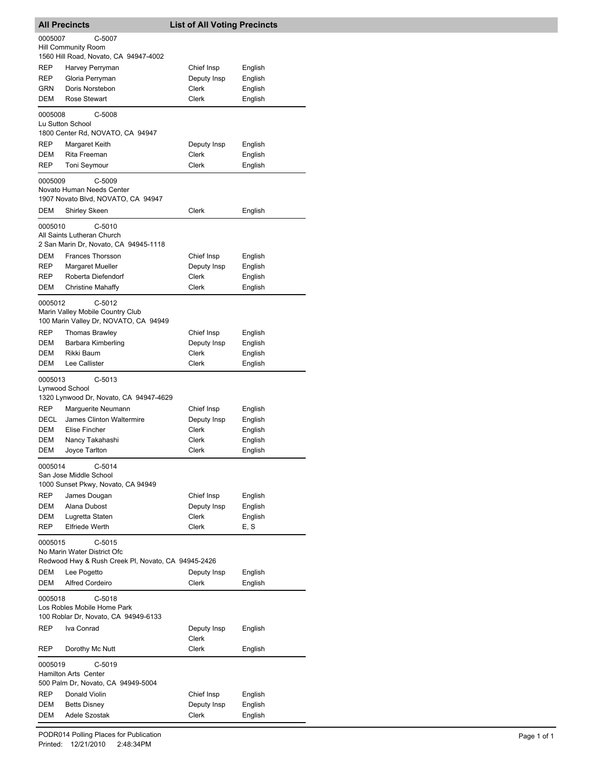| <b>All Precincts</b>               |                                                                                 | <b>List of All Voting Precincts</b> |                    |  |  |  |
|------------------------------------|---------------------------------------------------------------------------------|-------------------------------------|--------------------|--|--|--|
| 0005007<br>C-5007                  |                                                                                 |                                     |                    |  |  |  |
|                                    | Hill Community Room                                                             |                                     |                    |  |  |  |
|                                    | 1560 Hill Road, Novato, CA 94947-4002                                           |                                     |                    |  |  |  |
| REP                                | Harvey Perryman                                                                 | Chief Insp                          | English            |  |  |  |
| REP                                | Gloria Perryman                                                                 | Deputy Insp                         | English            |  |  |  |
| GRN<br>DEM                         | Doris Norstebon<br><b>Rose Stewart</b>                                          | Clerk<br>Clerk                      | English            |  |  |  |
|                                    |                                                                                 |                                     | English            |  |  |  |
| 0005008                            | C-5008                                                                          |                                     |                    |  |  |  |
|                                    | Lu Sutton School<br>1800 Center Rd, NOVATO, CA 94947                            |                                     |                    |  |  |  |
| REP                                | Margaret Keith                                                                  | Deputy Insp                         | English            |  |  |  |
| DEM                                | Rita Freeman                                                                    | Clerk                               | English            |  |  |  |
| REP                                | Toni Seymour                                                                    | Clerk                               | English            |  |  |  |
| 0005009                            | $C-5009$                                                                        |                                     |                    |  |  |  |
|                                    | Novato Human Needs Center                                                       |                                     |                    |  |  |  |
|                                    | 1907 Novato Blvd, NOVATO, CA 94947                                              |                                     |                    |  |  |  |
| DEM                                | Shirley Skeen                                                                   | Clerk                               | English            |  |  |  |
| 0005010                            | $C-5010$                                                                        |                                     |                    |  |  |  |
|                                    | All Saints Lutheran Church                                                      |                                     |                    |  |  |  |
|                                    | 2 San Marin Dr, Novato, CA 94945-1118                                           |                                     |                    |  |  |  |
| DEM                                | Frances Thorsson                                                                | Chief Insp                          | English            |  |  |  |
| REP                                | Margaret Mueller                                                                | Deputy Insp                         | English            |  |  |  |
| REP                                | Roberta Diefendorf                                                              | Clerk                               | English            |  |  |  |
| DEM                                | Christine Mahaffy                                                               | Clerk                               | English            |  |  |  |
| 0005012                            | $C-5012$                                                                        |                                     |                    |  |  |  |
|                                    | Marin Valley Mobile Country Club                                                |                                     |                    |  |  |  |
|                                    | 100 Marin Valley Dr, NOVATO, CA 94949                                           |                                     |                    |  |  |  |
| REP                                | Thomas Brawley                                                                  | Chief Insp                          | English            |  |  |  |
| DEM<br>DEM                         | Barbara Kimberling<br>Rikki Baum                                                | Deputy Insp<br>Clerk                | English            |  |  |  |
| DEM                                | Lee Callister                                                                   | Clerk                               | English<br>English |  |  |  |
|                                    |                                                                                 |                                     |                    |  |  |  |
| 0005013                            | C-5013                                                                          |                                     |                    |  |  |  |
|                                    | Lynwood School<br>1320 Lynwood Dr, Novato, CA 94947-4629                        |                                     |                    |  |  |  |
| REP                                | Marguerite Neumann                                                              | Chief Insp                          | English            |  |  |  |
| DECL                               | James Clinton Waltermire                                                        | Deputy Insp                         | English            |  |  |  |
| DEM                                | <b>Elise Fincher</b>                                                            | Clerk                               | English            |  |  |  |
| DEM                                | Nancy Takahashi                                                                 | Clerk                               | English            |  |  |  |
| DEM                                | Joyce Tarlton                                                                   | Clerk                               | English            |  |  |  |
| 0005014                            | $C-5014$                                                                        |                                     |                    |  |  |  |
|                                    | San Jose Middle School                                                          |                                     |                    |  |  |  |
|                                    | 1000 Sunset Pkwy, Novato, CA 94949                                              |                                     |                    |  |  |  |
| REP                                | James Dougan                                                                    | Chief Insp                          | English            |  |  |  |
| DEM                                | Alana Dubost                                                                    | Deputy Insp                         | English            |  |  |  |
| DEM                                | Lugretta Staten                                                                 | Clerk                               | English            |  |  |  |
| REP                                | <b>Elfriede Werth</b>                                                           | Clerk                               | E, S               |  |  |  |
| 0005015                            | $C-5015$                                                                        |                                     |                    |  |  |  |
|                                    | No Marin Water District Ofc                                                     |                                     |                    |  |  |  |
|                                    | Redwood Hwy & Rush Creek PI, Novato, CA 94945-2426                              |                                     |                    |  |  |  |
| DEM                                | Lee Pogetto                                                                     | Deputy Insp                         | English            |  |  |  |
| DEM                                | <b>Alfred Cordeiro</b>                                                          | Clerk                               | English            |  |  |  |
| 0005018                            | $C-5018$<br>Los Robles Mobile Home Park<br>100 Roblar Dr, Novato, CA 94949-6133 |                                     |                    |  |  |  |
| REP                                | Iva Conrad                                                                      | Deputy Insp                         | English            |  |  |  |
|                                    |                                                                                 | Clerk                               |                    |  |  |  |
| REP                                | Dorothy Mc Nutt                                                                 | Clerk                               | English            |  |  |  |
| 0005019                            | C-5019<br><b>Hamilton Arts Center</b>                                           |                                     |                    |  |  |  |
| 500 Palm Dr, Novato, CA 94949-5004 |                                                                                 |                                     |                    |  |  |  |
| REP                                | Donald Violin                                                                   | Chief Insp                          | English            |  |  |  |
| DEM                                | <b>Betts Disney</b>                                                             | Deputy Insp                         | English            |  |  |  |
| DEM                                | Adele Szostak                                                                   | Clerk                               | English            |  |  |  |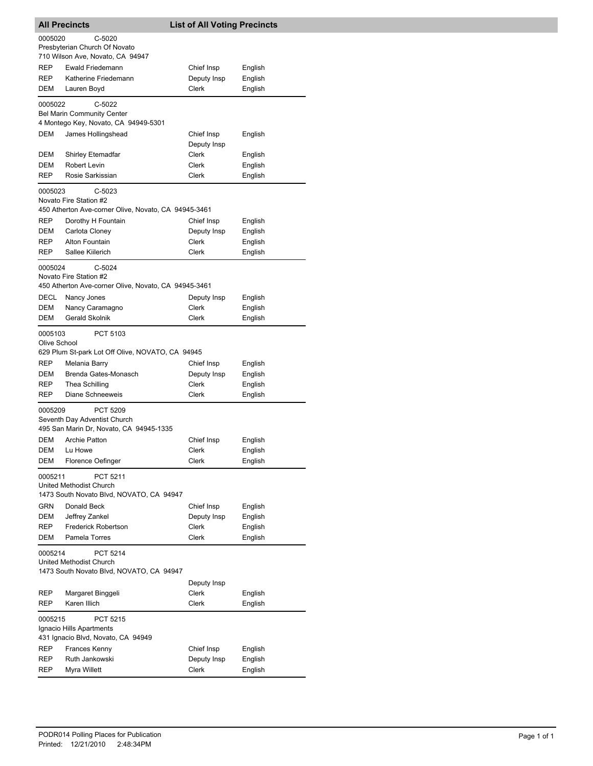| <b>All Precincts</b>                                                                                  |                                                                                            | <b>List of All Voting Precincts</b> |                    |  |  |
|-------------------------------------------------------------------------------------------------------|--------------------------------------------------------------------------------------------|-------------------------------------|--------------------|--|--|
| 0005020<br>$C-5020$<br>Presbyterian Church Of Novato                                                  |                                                                                            |                                     |                    |  |  |
|                                                                                                       | 710 Wilson Ave, Novato, CA 94947                                                           |                                     |                    |  |  |
| <b>REP</b>                                                                                            | Ewald Friedemann                                                                           | Chief Insp                          | English            |  |  |
| REP                                                                                                   | Katherine Friedemann                                                                       | Deputy Insp                         | English            |  |  |
| DEM                                                                                                   | Lauren Boyd                                                                                | Clerk                               | English            |  |  |
| 0005022                                                                                               | C-5022<br><b>Bel Marin Community Center</b>                                                |                                     |                    |  |  |
|                                                                                                       | 4 Montego Key, Novato, CA 94949-5301                                                       |                                     |                    |  |  |
| DEM                                                                                                   | James Hollingshead                                                                         | Chief Insp<br>Deputy Insp           | English            |  |  |
| DEM                                                                                                   | Shirley Etemadfar                                                                          | Clerk                               | English            |  |  |
| DEM<br>REP                                                                                            | Robert Levin<br>Rosie Sarkissian                                                           | Clerk<br>Clerk                      | English<br>English |  |  |
|                                                                                                       |                                                                                            |                                     |                    |  |  |
| 0005023                                                                                               | $C-5023$<br>Novato Fire Station #2<br>450 Atherton Ave-corner Olive, Novato, CA 94945-3461 |                                     |                    |  |  |
| REP                                                                                                   | Dorothy H Fountain                                                                         | Chief Insp                          | English            |  |  |
| DEM                                                                                                   | Carlota Cloney                                                                             | Deputy Insp                         | English            |  |  |
| REP                                                                                                   | Alton Fountain                                                                             | Clerk                               | English            |  |  |
| REP                                                                                                   | Sallee Kiilerich                                                                           | Clerk                               | English            |  |  |
| $C-5024$<br>0005024<br>Novato Fire Station #2<br>450 Atherton Ave-corner Olive, Novato, CA 94945-3461 |                                                                                            |                                     |                    |  |  |
| DECL                                                                                                  | Nancy Jones                                                                                | Deputy Insp                         | English            |  |  |
| DEM                                                                                                   | Nancy Caramagno                                                                            | Clerk                               | English            |  |  |
| DEM                                                                                                   | Gerald Skolnik                                                                             | Clerk                               | English            |  |  |
| 0005103<br>Olive School                                                                               | PCT 5103                                                                                   |                                     |                    |  |  |
|                                                                                                       | 629 Plum St-park Lot Off Olive, NOVATO, CA 94945                                           |                                     |                    |  |  |
| REP                                                                                                   | Melania Barry                                                                              | Chief Insp                          | English            |  |  |
| DEM                                                                                                   | Brenda Gates-Monasch                                                                       | Deputy Insp                         | English            |  |  |
| REP                                                                                                   | Thea Schilling                                                                             | Clerk                               | English            |  |  |
| <b>REP</b>                                                                                            | Diane Schneeweis                                                                           | Clerk                               | English            |  |  |
| 0005209                                                                                               | <b>PCT 5209</b><br>Seventh Day Adventist Church<br>495 San Marin Dr, Novato, CA 94945-1335 |                                     |                    |  |  |
| <b>DEM</b>                                                                                            | <b>Archie Patton</b>                                                                       | Chief Insp                          | English            |  |  |
|                                                                                                       | DEM Lu Howe                                                                                | Clerk                               | English            |  |  |
| DEM                                                                                                   | Florence Oefinger                                                                          | Clerk                               | English            |  |  |
| PCT 5211<br>0005211<br>United Methodist Church<br>1473 South Novato Blvd, NOVATO, CA 94947            |                                                                                            |                                     |                    |  |  |
| <b>GRN</b>                                                                                            | Donald Beck                                                                                | Chief Insp                          | English            |  |  |
| DEM                                                                                                   | Jeffrey Zankel                                                                             | Deputy Insp                         | English            |  |  |
| REP                                                                                                   | <b>Frederick Robertson</b>                                                                 | Clerk                               | English            |  |  |
| DEM                                                                                                   | Pamela Torres                                                                              | Clerk                               | English            |  |  |
| 0005214                                                                                               | <b>PCT 5214</b><br>United Methodist Church                                                 |                                     |                    |  |  |
|                                                                                                       | 1473 South Novato Blvd, NOVATO, CA 94947                                                   |                                     |                    |  |  |
|                                                                                                       |                                                                                            | Deputy Insp                         |                    |  |  |
| REP                                                                                                   | Margaret Binggeli                                                                          | Clerk                               | English            |  |  |
| REP                                                                                                   | Karen Illich                                                                               | Clerk                               | English            |  |  |
| 0005215<br><b>PCT 5215</b><br>Ignacio Hills Apartments<br>431 Ignacio Blvd, Novato, CA 94949          |                                                                                            |                                     |                    |  |  |
| REP                                                                                                   | Frances Kenny                                                                              | Chief Insp                          | English            |  |  |
| REP<br>REP                                                                                            | Ruth Jankowski<br>Myra Willett                                                             | Deputy Insp<br>Clerk                | English<br>English |  |  |
|                                                                                                       |                                                                                            |                                     |                    |  |  |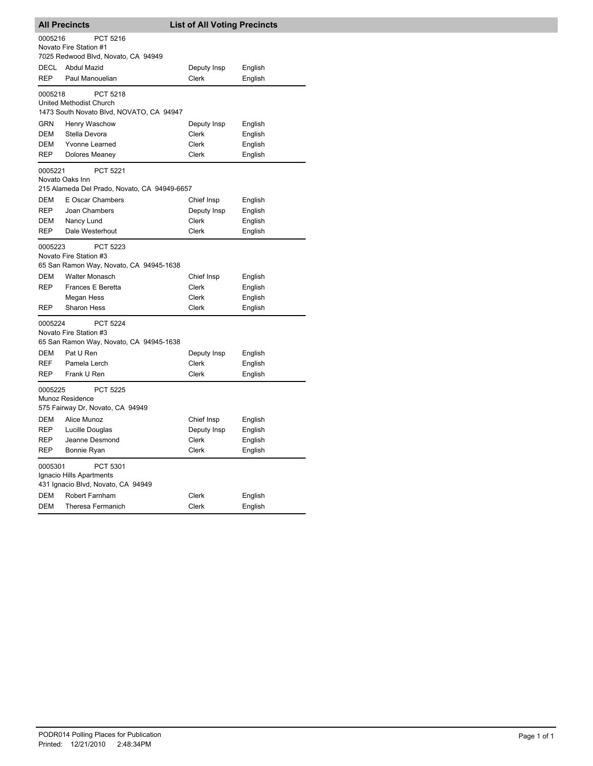| <b>All Precincts</b>                                                                  |                                                                                                                      | <b>List of All Voting Precincts</b> |                    |  |  |
|---------------------------------------------------------------------------------------|----------------------------------------------------------------------------------------------------------------------|-------------------------------------|--------------------|--|--|
| 0005216<br>PCT 5216<br>Novato Fire Station #1<br>7025 Redwood Blvd, Novato, CA 94949  |                                                                                                                      |                                     |                    |  |  |
| <b>DECL</b>                                                                           | Abdul Mazid                                                                                                          | Deputy Insp                         | English            |  |  |
| <b>REP</b>                                                                            | Paul Manouelian                                                                                                      | Clerk                               | English            |  |  |
| 0005218                                                                               | PCT 5218<br>United Methodist Church<br>1473 South Novato Blvd, NOVATO, CA 94947                                      |                                     |                    |  |  |
| GRN                                                                                   | Henry Waschow                                                                                                        | Deputy Insp                         | English            |  |  |
| <b>DEM</b>                                                                            | Stella Devora                                                                                                        | Clerk                               | English            |  |  |
| DEM                                                                                   | <b>Yvonne Learned</b>                                                                                                | Clerk                               | English            |  |  |
| REP                                                                                   | Dolores Meaney                                                                                                       | Clerk                               | English            |  |  |
|                                                                                       | PCT 5221<br>0005221<br>Novato Oaks Inn<br>215 Alameda Del Prado, Novato, CA 94949-6657                               |                                     |                    |  |  |
| DEM                                                                                   | <b>E Oscar Chambers</b>                                                                                              | Chief Insp                          | English            |  |  |
| <b>REP</b>                                                                            | Joan Chambers                                                                                                        | Deputy Insp                         | English            |  |  |
| DEM                                                                                   | Nancy Lund                                                                                                           | Clerk                               | English            |  |  |
| <b>REP</b>                                                                            | Dale Westerhout                                                                                                      | Clerk                               | English            |  |  |
| 0005223<br>DEM<br><b>REP</b>                                                          | PCT 5223<br>Novato Fire Station #3<br>65 San Ramon Way, Novato, CA 94945-1638<br>Walter Monasch<br>Frances E Beretta | Chief Insp<br>Clerk                 | English<br>English |  |  |
|                                                                                       | Megan Hess                                                                                                           | Clerk                               | English            |  |  |
| <b>REP</b>                                                                            | <b>Sharon Hess</b>                                                                                                   | Clerk                               | English            |  |  |
| 0005224<br>DEM<br><b>REF</b>                                                          | <b>PCT 5224</b><br>Novato Fire Station #3<br>65 San Ramon Way, Novato, CA 94945-1638<br>Pat U Ren<br>Pamela Lerch    | Deputy Insp<br>Clerk                | English<br>English |  |  |
| REP                                                                                   | Frank U Ren                                                                                                          | Clerk                               | English            |  |  |
| 0005225<br><b>PCT 5225</b><br>Munoz Residence<br>575 Fairway Dr, Novato, CA 94949     |                                                                                                                      |                                     |                    |  |  |
| DEM                                                                                   | Alice Munoz                                                                                                          | Chief Insp                          | English            |  |  |
| REP                                                                                   | Lucille Douglas                                                                                                      | Deputy Insp                         | English            |  |  |
| REP                                                                                   | Jeanne Desmond                                                                                                       | Clerk                               | English            |  |  |
| REP                                                                                   | Bonnie Ryan                                                                                                          | Clerk                               | English            |  |  |
| PCT 5301<br>0005301<br>Ignacio Hills Apartments<br>431 Ignacio Blvd, Novato, CA 94949 |                                                                                                                      |                                     |                    |  |  |
| DEM                                                                                   | Robert Farnham                                                                                                       | Clerk                               | English            |  |  |
| DEM                                                                                   | Theresa Fermanich                                                                                                    | <b>Clerk</b>                        | English            |  |  |